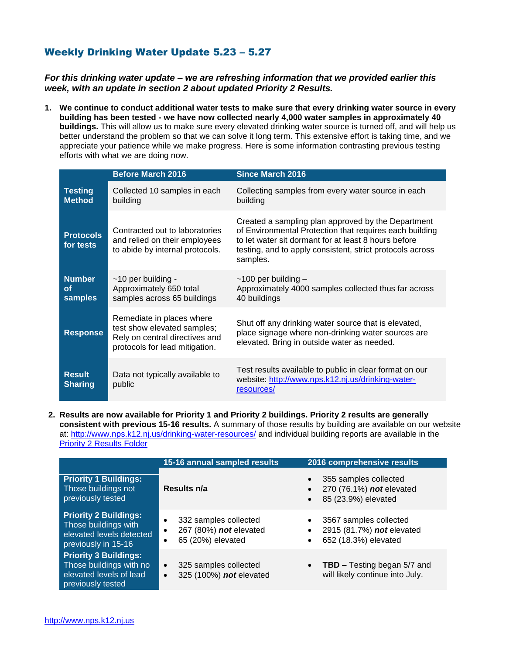## Weekly Drinking Water Update 5.23 – 5.27

## *For this drinking water update – we are refreshing information that we provided earlier this week, with an update in section 2 about updated Priority 2 Results.*

**1. We continue to conduct additional water tests to make sure that every drinking water source in every building has been tested - we have now collected nearly 4,000 water samples in approximately 40 buildings.** This will allow us to make sure every elevated drinking water source is turned off, and will help us better understand the problem so that we can solve it long term. This extensive effort is taking time, and we appreciate your patience while we make progress. Here is some information contrasting previous testing efforts with what we are doing now.

|                                 | <b>Before March 2016</b>                                                                                                     | <b>Since March 2016</b>                                                                                                                                                                                                                        |
|---------------------------------|------------------------------------------------------------------------------------------------------------------------------|------------------------------------------------------------------------------------------------------------------------------------------------------------------------------------------------------------------------------------------------|
| <b>Testing</b><br><b>Method</b> | Collected 10 samples in each<br>building                                                                                     | Collecting samples from every water source in each<br>building                                                                                                                                                                                 |
| <b>Protocols</b><br>for tests   | Contracted out to laboratories<br>and relied on their employees<br>to abide by internal protocols.                           | Created a sampling plan approved by the Department<br>of Environmental Protection that requires each building<br>to let water sit dormant for at least 8 hours before<br>testing, and to apply consistent, strict protocols across<br>samples. |
| <b>Number</b><br>οf<br>samples  | $~10$ per building -<br>Approximately 650 total<br>samples across 65 buildings                                               | $~100$ per building $-$<br>Approximately 4000 samples collected thus far across<br>40 buildings                                                                                                                                                |
| <b>Response</b>                 | Remediate in places where<br>test show elevated samples;<br>Rely on central directives and<br>protocols for lead mitigation. | Shut off any drinking water source that is elevated,<br>place signage where non-drinking water sources are<br>elevated. Bring in outside water as needed.                                                                                      |
| <b>Result</b><br><b>Sharing</b> | Data not typically available to<br>public                                                                                    | Test results available to public in clear format on our<br>website: http://www.nps.k12.nj.us/drinking-water-<br>resources/                                                                                                                     |

**2. Results are now available for Priority 1 and Priority 2 buildings. Priority 2 results are generally consistent with previous 15-16 results.** A summary of those results by building are available on our website at: <http://www.nps.k12.nj.us/drinking-water-resources/> and individual building reports are available in the [Priority 2 Results Folder](http://www.nps.k12.nj.us/departments/facilities/water-quality/?mdocs-cat=mdocs-cat-32&att=mdocs-cat-23)

|                                                                                                         | 15-16 annual sampled results                                                                | 2016 comprehensive results                                                                                         |
|---------------------------------------------------------------------------------------------------------|---------------------------------------------------------------------------------------------|--------------------------------------------------------------------------------------------------------------------|
| <b>Priority 1 Buildings:</b><br>Those buildings not<br>previously tested                                | Results n/a                                                                                 | 355 samples collected<br>$\bullet$<br>270 (76.1%) not elevated<br>$\bullet$<br>85 (23.9%) elevated<br>$\bullet$    |
| <b>Priority 2 Buildings:</b><br>Those buildings with<br>elevated levels detected<br>previously in 15-16 | 332 samples collected<br>$\bullet$<br>267 (80%) not elevated<br>٠<br>65 (20%) elevated<br>٠ | 3567 samples collected<br>$\bullet$<br>2915 (81.7%) not elevated<br>$\bullet$<br>652 (18.3%) elevated<br>$\bullet$ |
| <b>Priority 3 Buildings:</b><br>Those buildings with no<br>elevated levels of lead<br>previously tested | 325 samples collected<br>$\bullet$<br>325 (100%) not elevated<br>$\bullet$                  | <b>TBD – Testing began 5/7 and</b><br>$\bullet$<br>will likely continue into July.                                 |